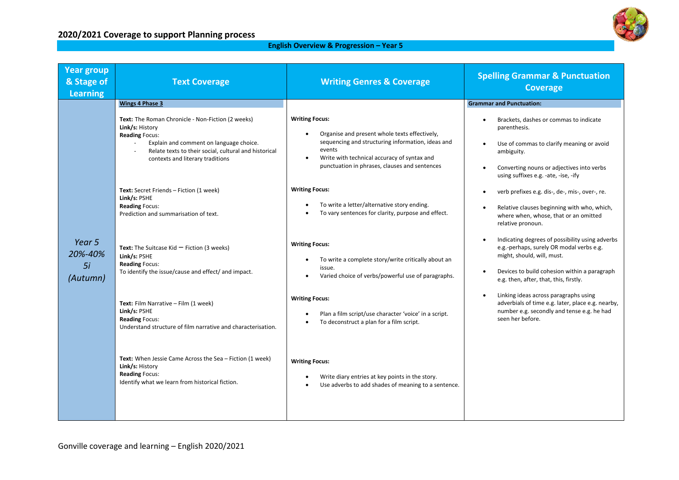

#### **English Overview & Progression – Year 5**

| <b>Year group</b><br>& Stage of<br><b>Learning</b> | <b>Text Coverage</b>                                                                                                                                                                                                                  | <b>Writing Genres &amp; Coverage</b>                                                                                                                                                                                                                            | <b>Spelling Grammar &amp; Punctuation</b><br><b>Coverage</b>                                                                                                                                                                     |
|----------------------------------------------------|---------------------------------------------------------------------------------------------------------------------------------------------------------------------------------------------------------------------------------------|-----------------------------------------------------------------------------------------------------------------------------------------------------------------------------------------------------------------------------------------------------------------|----------------------------------------------------------------------------------------------------------------------------------------------------------------------------------------------------------------------------------|
|                                                    | <b>Wings 4 Phase 3</b>                                                                                                                                                                                                                |                                                                                                                                                                                                                                                                 | <b>Grammar and Punctuation:</b>                                                                                                                                                                                                  |
|                                                    | Text: The Roman Chronicle - Non-Fiction (2 weeks)<br>Link/s: History<br><b>Reading Focus:</b><br>Explain and comment on language choice.<br>Relate texts to their social, cultural and historical<br>contexts and literary traditions | <b>Writing Focus:</b><br>Organise and present whole texts effectively,<br>$\bullet$<br>sequencing and structuring information, ideas and<br>events<br>Write with technical accuracy of syntax and<br>$\bullet$<br>punctuation in phrases, clauses and sentences | Brackets, dashes or commas to indicate<br>$\bullet$<br>parenthesis.<br>Use of commas to clarify meaning or avoid<br>$\bullet$<br>ambiguity.<br>Converting nouns or adjectives into verbs<br>using suffixes e.g. -ate, -ise, -ify |
|                                                    | Text: Secret Friends - Fiction (1 week)<br>Link/s: PSHE<br><b>Reading Focus:</b><br>Prediction and summarisation of text.                                                                                                             | <b>Writing Focus:</b><br>To write a letter/alternative story ending.<br>$\bullet$<br>To vary sentences for clarity, purpose and effect.                                                                                                                         | verb prefixes e.g. dis-, de-, mis-, over-, re.<br>Relative clauses beginning with who, which,<br>$\bullet$<br>where when, whose, that or an omitted<br>relative pronoun.                                                         |
| Year 5<br>20%-40%<br>5i<br>(Autumn)                | Text: The Suitcase Kid $-$ Fiction (3 weeks)<br>Link/s: PSHE<br><b>Reading Focus:</b><br>To identify the issue/cause and effect/ and impact.                                                                                          | <b>Writing Focus:</b><br>To write a complete story/write critically about an<br>issue.<br>Varied choice of verbs/powerful use of paragraphs.<br>$\bullet$                                                                                                       | Indicating degrees of possibility using adverbs<br>e.g.-perhaps, surely OR modal verbs e.g.<br>might, should, will, must.<br>Devices to build cohesion within a paragraph<br>e.g. then, after, that, this, firstly.              |
|                                                    | Text: Film Narrative - Film (1 week)<br>Link/s: PSHE<br><b>Reading Focus:</b><br>Understand structure of film narrative and characterisation.                                                                                         | <b>Writing Focus:</b><br>Plan a film script/use character 'voice' in a script.<br>To deconstruct a plan for a film script.<br>$\bullet$                                                                                                                         | Linking ideas across paragraphs using<br>$\bullet$<br>adverbials of time e.g. later, place e.g. nearby,<br>number e.g. secondly and tense e.g. he had<br>seen her before.                                                        |
|                                                    | Text: When Jessie Came Across the Sea - Fiction (1 week)<br>Link/s: History<br><b>Reading Focus:</b><br>Identify what we learn from historical fiction.                                                                               | <b>Writing Focus:</b><br>Write diary entries at key points in the story.<br>$\bullet$<br>Use adverbs to add shades of meaning to a sentence.                                                                                                                    |                                                                                                                                                                                                                                  |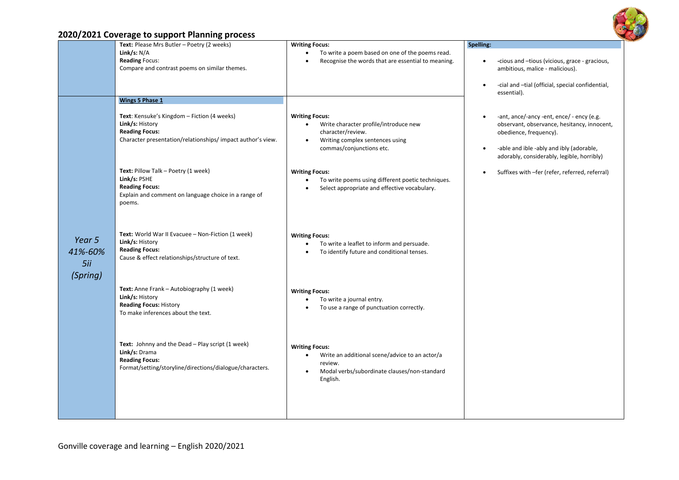

|                                      | Text: Please Mrs Butler - Poetry (2 weeks)                                                                                                                                                                                                                                                                                        | <b>Writing Focus:</b>                                                                                                                                                                                                                                                                                      | <b>Spelling:</b>                                                                                                                                                                                                                                                            |
|--------------------------------------|-----------------------------------------------------------------------------------------------------------------------------------------------------------------------------------------------------------------------------------------------------------------------------------------------------------------------------------|------------------------------------------------------------------------------------------------------------------------------------------------------------------------------------------------------------------------------------------------------------------------------------------------------------|-----------------------------------------------------------------------------------------------------------------------------------------------------------------------------------------------------------------------------------------------------------------------------|
|                                      | Link/s: $N/A$<br><b>Reading Focus:</b><br>Compare and contrast poems on similar themes.                                                                                                                                                                                                                                           | To write a poem based on one of the poems read.<br>Recognise the words that are essential to meaning.                                                                                                                                                                                                      | -cious and -tious (vicious, grace - gracious,<br>ambitious, malice - malicious).                                                                                                                                                                                            |
|                                      |                                                                                                                                                                                                                                                                                                                                   |                                                                                                                                                                                                                                                                                                            | -cial and -tial (official, special confidential,<br>essential).                                                                                                                                                                                                             |
|                                      | <b>Wings 5 Phase 1</b><br>Text: Kensuke's Kingdom - Fiction (4 weeks)<br>Link/s: History<br><b>Reading Focus:</b><br>Character presentation/relationships/impact author's view.<br>Text: Pillow Talk - Poetry (1 week)<br>Link/s: PSHE<br><b>Reading Focus:</b><br>Explain and comment on language choice in a range of<br>poems. | <b>Writing Focus:</b><br>Write character profile/introduce new<br>character/review.<br>Writing complex sentences using<br>$\bullet$<br>commas/conjunctions etc.<br><b>Writing Focus:</b><br>To write poems using different poetic techniques.<br>$\bullet$<br>Select appropriate and effective vocabulary. | -ant, ance/-ancy -ent, ence/ - ency (e.g.<br>observant, observance, hesitancy, innocent,<br>obedience, frequency).<br>-able and ible -ably and ibly (adorable,<br>$\bullet$<br>adorably, considerably, legible, horribly)<br>Suffixes with -fer (refer, referred, referral) |
| Year 5<br>41%-60%<br>5ii<br>(Spring) | Text: World War II Evacuee - Non-Fiction (1 week)<br>Link/s: History<br><b>Reading Focus:</b><br>Cause & effect relationships/structure of text.                                                                                                                                                                                  | <b>Writing Focus:</b><br>To write a leaflet to inform and persuade.<br>To identify future and conditional tenses.                                                                                                                                                                                          |                                                                                                                                                                                                                                                                             |
|                                      | Text: Anne Frank - Autobiography (1 week)<br>Link/s: History<br><b>Reading Focus: History</b><br>To make inferences about the text.                                                                                                                                                                                               | <b>Writing Focus:</b><br>To write a journal entry.<br>To use a range of punctuation correctly.                                                                                                                                                                                                             |                                                                                                                                                                                                                                                                             |
|                                      | Text: Johnny and the Dead - Play script (1 week)<br>Link/s: Drama<br><b>Reading Focus:</b><br>Format/setting/storyline/directions/dialogue/characters.                                                                                                                                                                            | <b>Writing Focus:</b><br>Write an additional scene/advice to an actor/a<br>$\bullet$<br>review.<br>Modal verbs/subordinate clauses/non-standard<br>$\bullet$<br>English.                                                                                                                                   |                                                                                                                                                                                                                                                                             |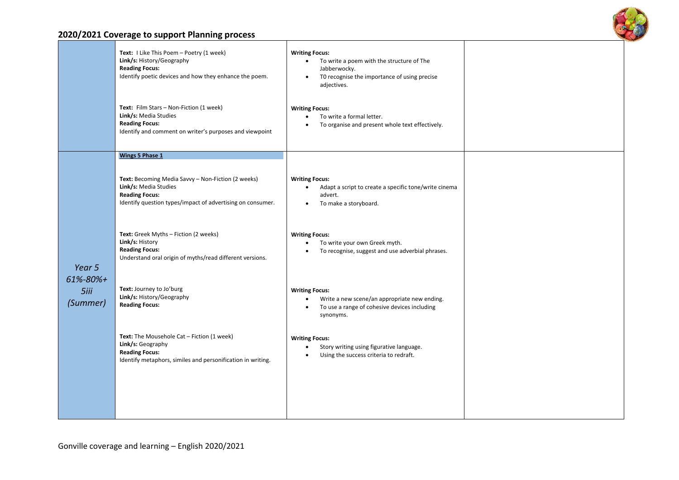

|                              | Text: I Like This Poem - Poetry (1 week)<br>Link/s: History/Geography<br><b>Reading Focus:</b><br>Identify poetic devices and how they enhance the poem.           | <b>Writing Focus:</b><br>To write a poem with the structure of The<br>$\bullet$<br>Jabberwocky.<br>TO recognise the importance of using precise<br>$\bullet$<br>adjectives. |  |
|------------------------------|--------------------------------------------------------------------------------------------------------------------------------------------------------------------|-----------------------------------------------------------------------------------------------------------------------------------------------------------------------------|--|
|                              | Text: Film Stars - Non-Fiction (1 week)<br>Link/s: Media Studies<br><b>Reading Focus:</b><br>Identify and comment on writer's purposes and viewpoint               | <b>Writing Focus:</b><br>To write a formal letter.<br>$\bullet$<br>To organise and present whole text effectively.<br>$\bullet$                                             |  |
|                              | <b>Wings 5 Phase 1</b>                                                                                                                                             |                                                                                                                                                                             |  |
|                              | Text: Becoming Media Savvy - Non-Fiction (2 weeks)<br>Link/s: Media Studies<br><b>Reading Focus:</b><br>Identify question types/impact of advertising on consumer. | <b>Writing Focus:</b><br>Adapt a script to create a specific tone/write cinema<br>$\bullet$<br>advert.<br>To make a storyboard.<br>$\bullet$                                |  |
| Year 5                       | Text: Greek Myths - Fiction (2 weeks)<br>Link/s: History<br><b>Reading Focus:</b><br>Understand oral origin of myths/read different versions.                      | <b>Writing Focus:</b><br>To write your own Greek myth.<br>$\bullet$<br>To recognise, suggest and use adverbial phrases.<br>$\bullet$                                        |  |
| 61%-80%+<br>5iii<br>(Summer) | Text: Journey to Jo'burg<br>Link/s: History/Geography<br><b>Reading Focus:</b>                                                                                     | <b>Writing Focus:</b><br>Write a new scene/an appropriate new ending.<br>$\bullet$<br>To use a range of cohesive devices including<br>$\bullet$<br>synonyms.                |  |
|                              | Text: The Mousehole Cat - Fiction (1 week)<br>Link/s: Geography<br><b>Reading Focus:</b><br>Identify metaphors, similes and personification in writing.            | <b>Writing Focus:</b><br>Story writing using figurative language.<br>$\bullet$<br>Using the success criteria to redraft.<br>$\bullet$                                       |  |
|                              |                                                                                                                                                                    |                                                                                                                                                                             |  |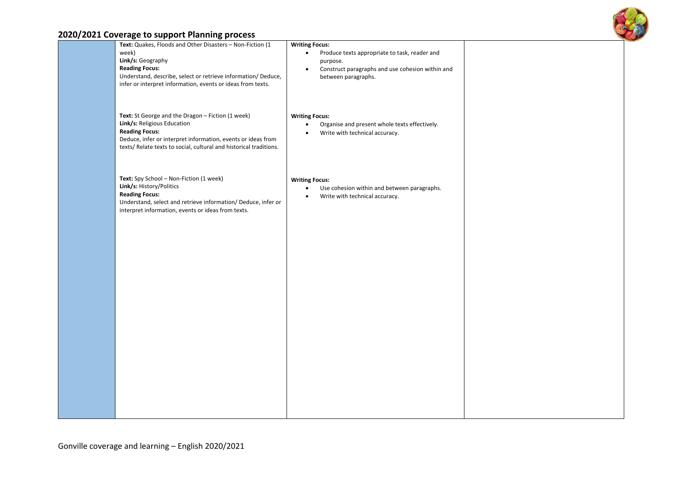

| Text: Quakes, Floods and Other Disasters - Non-Fiction (1<br>week)<br>Link/s: Geography<br><b>Reading Focus:</b><br>Understand, describe, select or retrieve information/ Deduce,<br>infer or interpret information, events or ideas from texts. | <b>Writing Focus:</b><br>Produce texts appropriate to task, reader and<br>$\bullet$<br>purpose.<br>Construct paragraphs and use cohesion within and<br>$\bullet$<br>between paragraphs. |  |
|--------------------------------------------------------------------------------------------------------------------------------------------------------------------------------------------------------------------------------------------------|-----------------------------------------------------------------------------------------------------------------------------------------------------------------------------------------|--|
| Text: St George and the Dragon - Fiction (1 week)<br>Link/s: Religious Education<br><b>Reading Focus:</b><br>Deduce, infer or interpret information, events or ideas from<br>texts/ Relate texts to social, cultural and historical traditions.  | <b>Writing Focus:</b><br>Organise and present whole texts effectively.<br>$\bullet$<br>Write with technical accuracy.<br>$\bullet$                                                      |  |
| Text: Spy School - Non-Fiction (1 week)<br>Link/s: History/Politics<br><b>Reading Focus:</b><br>Understand, select and retrieve information/ Deduce, infer or<br>interpret information, events or ideas from texts.                              | <b>Writing Focus:</b><br>Use cohesion within and between paragraphs.<br>$\bullet$<br>Write with technical accuracy.<br>$\bullet$                                                        |  |
|                                                                                                                                                                                                                                                  |                                                                                                                                                                                         |  |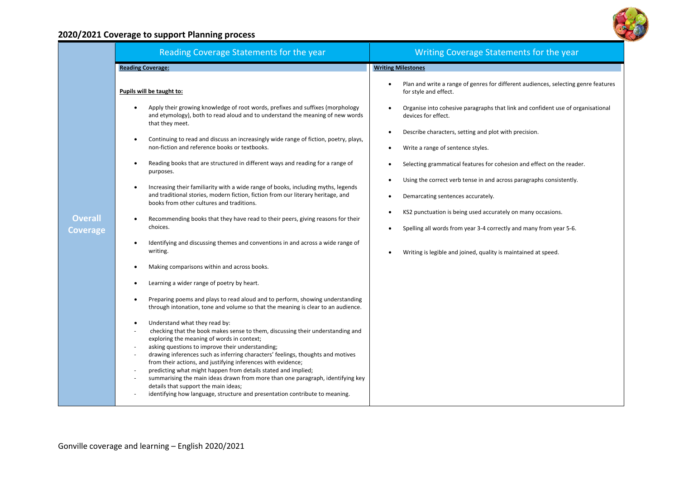



|                                   | Reading Coverage Statements for the year                                                                                                                                                                                                                                                                                                                                                                                                                                                                                                                                           | Writing Coverage Statements for the year                                                                                                                                     |
|-----------------------------------|------------------------------------------------------------------------------------------------------------------------------------------------------------------------------------------------------------------------------------------------------------------------------------------------------------------------------------------------------------------------------------------------------------------------------------------------------------------------------------------------------------------------------------------------------------------------------------|------------------------------------------------------------------------------------------------------------------------------------------------------------------------------|
|                                   | <b>Reading Coverage:</b>                                                                                                                                                                                                                                                                                                                                                                                                                                                                                                                                                           | <b>Writing Milestones</b>                                                                                                                                                    |
|                                   | Pupils will be taught to:                                                                                                                                                                                                                                                                                                                                                                                                                                                                                                                                                          | Plan and write a range of genres for different audiences, selecting genre features<br>$\bullet$<br>for style and effect.                                                     |
|                                   | Apply their growing knowledge of root words, prefixes and suffixes (morphology<br>$\bullet$<br>and etymology), both to read aloud and to understand the meaning of new words<br>that they meet.<br>Continuing to read and discuss an increasingly wide range of fiction, poetry, plays,<br>$\bullet$                                                                                                                                                                                                                                                                               | Organise into cohesive paragraphs that link and confident use of organisational<br>devices for effect.<br>Describe characters, setting and plot with precision.<br>$\bullet$ |
|                                   | non-fiction and reference books or textbooks.                                                                                                                                                                                                                                                                                                                                                                                                                                                                                                                                      | Write a range of sentence styles.                                                                                                                                            |
|                                   | Reading books that are structured in different ways and reading for a range of<br>$\bullet$<br>purposes.                                                                                                                                                                                                                                                                                                                                                                                                                                                                           | Selecting grammatical features for cohesion and effect on the reader.                                                                                                        |
|                                   | Increasing their familiarity with a wide range of books, including myths, legends<br>$\bullet$<br>and traditional stories, modern fiction, fiction from our literary heritage, and<br>books from other cultures and traditions.                                                                                                                                                                                                                                                                                                                                                    | Using the correct verb tense in and across paragraphs consistently.<br>$\bullet$<br>Demarcating sentences accurately.                                                        |
| <b>Overall</b><br><b>Coverage</b> | Recommending books that they have read to their peers, giving reasons for their<br>$\bullet$<br>choices.                                                                                                                                                                                                                                                                                                                                                                                                                                                                           | KS2 punctuation is being used accurately on many occasions.<br>$\bullet$<br>Spelling all words from year 3-4 correctly and many from year 5-6.                               |
|                                   | Identifying and discussing themes and conventions in and across a wide range of<br>$\bullet$<br>writing.                                                                                                                                                                                                                                                                                                                                                                                                                                                                           | Writing is legible and joined, quality is maintained at speed.                                                                                                               |
|                                   | Making comparisons within and across books.<br>$\bullet$                                                                                                                                                                                                                                                                                                                                                                                                                                                                                                                           |                                                                                                                                                                              |
|                                   | Learning a wider range of poetry by heart.<br>$\bullet$                                                                                                                                                                                                                                                                                                                                                                                                                                                                                                                            |                                                                                                                                                                              |
|                                   | Preparing poems and plays to read aloud and to perform, showing understanding<br>$\bullet$<br>through intonation, tone and volume so that the meaning is clear to an audience.                                                                                                                                                                                                                                                                                                                                                                                                     |                                                                                                                                                                              |
|                                   | Understand what they read by:<br>$\bullet$<br>checking that the book makes sense to them, discussing their understanding and<br>exploring the meaning of words in context;<br>asking questions to improve their understanding;<br>drawing inferences such as inferring characters' feelings, thoughts and motives<br>ä,<br>from their actions, and justifying inferences with evidence;<br>predicting what might happen from details stated and implied;<br>summarising the main ideas drawn from more than one paragraph, identifying key<br>details that support the main ideas; |                                                                                                                                                                              |
|                                   | identifying how language, structure and presentation contribute to meaning.                                                                                                                                                                                                                                                                                                                                                                                                                                                                                                        |                                                                                                                                                                              |